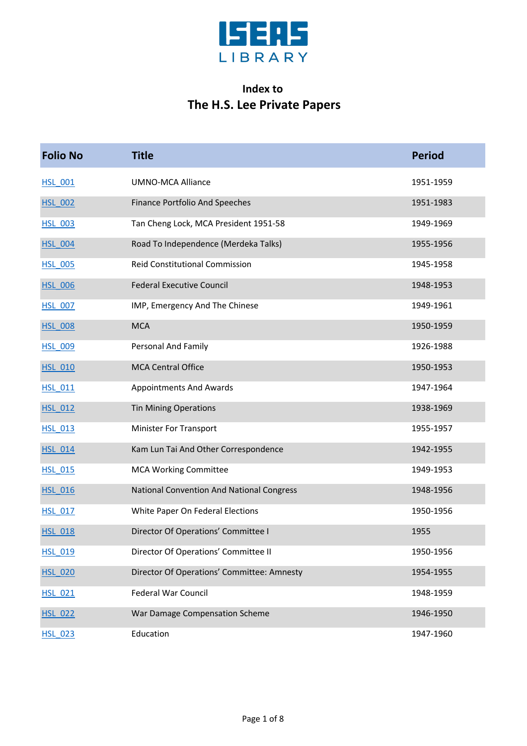

## **Index to The H.S. Lee Private Papers**

| <b>Folio No</b> | <b>Title</b>                                     | <b>Period</b> |
|-----------------|--------------------------------------------------|---------------|
| <b>HSL 001</b>  | <b>UMNO-MCA Alliance</b>                         | 1951-1959     |
| <b>HSL 002</b>  | <b>Finance Portfolio And Speeches</b>            | 1951-1983     |
| <b>HSL 003</b>  | Tan Cheng Lock, MCA President 1951-58            | 1949-1969     |
| <b>HSL_004</b>  | Road To Independence (Merdeka Talks)             | 1955-1956     |
| <b>HSL 005</b>  | Reid Constitutional Commission                   | 1945-1958     |
| <b>HSL 006</b>  | <b>Federal Executive Council</b>                 | 1948-1953     |
| <b>HSL 007</b>  | IMP, Emergency And The Chinese                   | 1949-1961     |
| <b>HSL 008</b>  | <b>MCA</b>                                       | 1950-1959     |
| <b>HSL_009</b>  | Personal And Family                              | 1926-1988     |
| <b>HSL 010</b>  | <b>MCA Central Office</b>                        | 1950-1953     |
| <b>HSL 011</b>  | <b>Appointments And Awards</b>                   | 1947-1964     |
| <b>HSL 012</b>  | <b>Tin Mining Operations</b>                     | 1938-1969     |
| <b>HSL 013</b>  | Minister For Transport                           | 1955-1957     |
| <b>HSL_014</b>  | Kam Lun Tai And Other Correspondence             | 1942-1955     |
| <b>HSL 015</b>  | <b>MCA Working Committee</b>                     | 1949-1953     |
| <b>HSL 016</b>  | <b>National Convention And National Congress</b> | 1948-1956     |
| <b>HSL 017</b>  | White Paper On Federal Elections                 | 1950-1956     |
| <b>HSL 018</b>  | Director Of Operations' Committee I              | 1955          |
| <b>HSL_019</b>  | Director Of Operations' Committee II             | 1950-1956     |
| <b>HSL 020</b>  | Director Of Operations' Committee: Amnesty       | 1954-1955     |
| <b>HSL 021</b>  | Federal War Council                              | 1948-1959     |
| <b>HSL 022</b>  | War Damage Compensation Scheme                   | 1946-1950     |
| <b>HSL_023</b>  | Education                                        | 1947-1960     |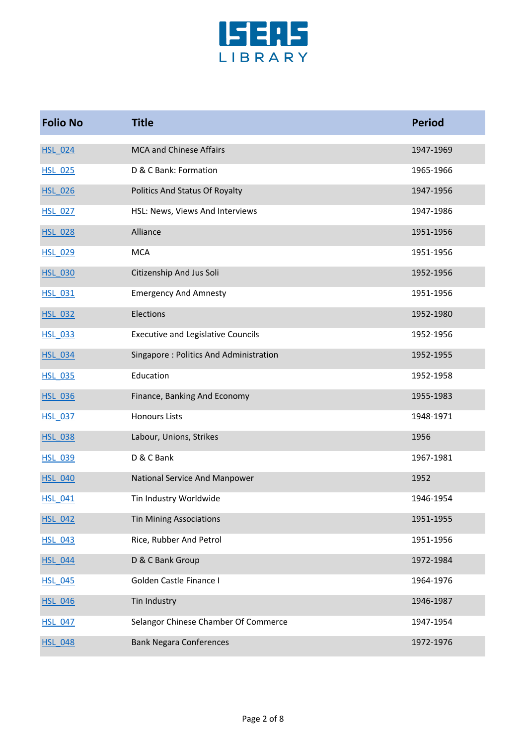

| <b>Folio No</b> | <b>Title</b>                              | <b>Period</b> |
|-----------------|-------------------------------------------|---------------|
| <b>HSL 024</b>  | <b>MCA and Chinese Affairs</b>            | 1947-1969     |
| <b>HSL 025</b>  | D & C Bank: Formation                     | 1965-1966     |
| <b>HSL 026</b>  | Politics And Status Of Royalty            | 1947-1956     |
| <b>HSL 027</b>  | HSL: News, Views And Interviews           | 1947-1986     |
| <b>HSL 028</b>  | Alliance                                  | 1951-1956     |
| <b>HSL 029</b>  | <b>MCA</b>                                | 1951-1956     |
| <b>HSL 030</b>  | Citizenship And Jus Soli                  | 1952-1956     |
| <b>HSL 031</b>  | <b>Emergency And Amnesty</b>              | 1951-1956     |
| <b>HSL 032</b>  | Elections                                 | 1952-1980     |
| <b>HSL 033</b>  | <b>Executive and Legislative Councils</b> | 1952-1956     |
| <b>HSL 034</b>  | Singapore: Politics And Administration    | 1952-1955     |
| <b>HSL 035</b>  | Education                                 | 1952-1958     |
| <b>HSL 036</b>  | Finance, Banking And Economy              | 1955-1983     |
| <b>HSL 037</b>  | <b>Honours Lists</b>                      | 1948-1971     |
| <b>HSL 038</b>  | Labour, Unions, Strikes                   | 1956          |
| <b>HSL 039</b>  | D & C Bank                                | 1967-1981     |
| <b>HSL_040</b>  | National Service And Manpower             | 1952          |
| <b>HSL 041</b>  | Tin Industry Worldwide                    | 1946-1954     |
| <b>HSL 042</b>  | <b>Tin Mining Associations</b>            | 1951-1955     |
| <b>HSL 043</b>  | Rice, Rubber And Petrol                   | 1951-1956     |
| <b>HSL 044</b>  | D & C Bank Group                          | 1972-1984     |
| <b>HSL_045</b>  | Golden Castle Finance I                   | 1964-1976     |
| <b>HSL 046</b>  | Tin Industry                              | 1946-1987     |
| <b>HSL 047</b>  | Selangor Chinese Chamber Of Commerce      | 1947-1954     |
| <b>HSL 048</b>  | <b>Bank Negara Conferences</b>            | 1972-1976     |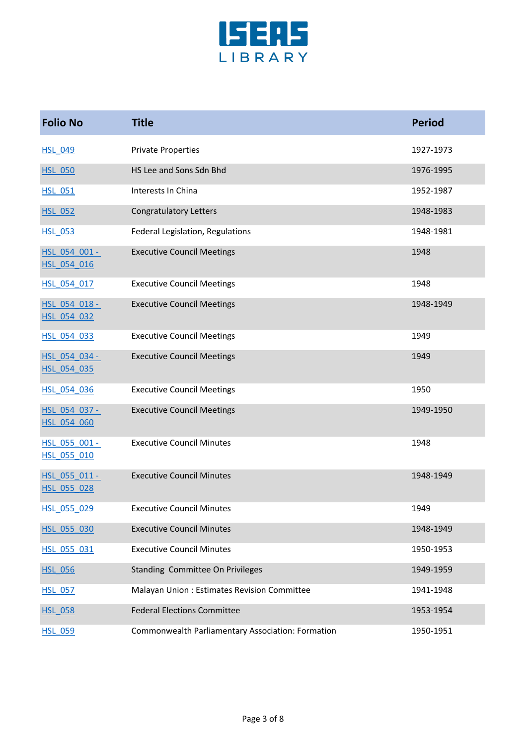

| <b>Folio No</b>              | <b>Title</b>                                      | <b>Period</b> |
|------------------------------|---------------------------------------------------|---------------|
| <b>HSL 049</b>               | <b>Private Properties</b>                         | 1927-1973     |
| <b>HSL 050</b>               | HS Lee and Sons Sdn Bhd                           | 1976-1995     |
| <b>HSL 051</b>               | Interests In China                                | 1952-1987     |
| <b>HSL 052</b>               | <b>Congratulatory Letters</b>                     | 1948-1983     |
| <b>HSL 053</b>               | Federal Legislation, Regulations                  | 1948-1981     |
| HSL 054 001 -<br>HSL 054 016 | <b>Executive Council Meetings</b>                 | 1948          |
| HSL 054 017                  | <b>Executive Council Meetings</b>                 | 1948          |
| HSL 054 018 -<br>HSL 054 032 | <b>Executive Council Meetings</b>                 | 1948-1949     |
| HSL 054 033                  | <b>Executive Council Meetings</b>                 | 1949          |
| HSL 054 034 -<br>HSL_054_035 | <b>Executive Council Meetings</b>                 | 1949          |
| HSL_054_036                  | <b>Executive Council Meetings</b>                 | 1950          |
| HSL 054 037 -<br>HSL 054 060 | <b>Executive Council Meetings</b>                 | 1949-1950     |
| HSL_055_001 -<br>HSL 055 010 | <b>Executive Council Minutes</b>                  | 1948          |
| HSL_055_011 -<br>HSL 055 028 | <b>Executive Council Minutes</b>                  | 1948-1949     |
| HSL_055_029                  | <b>Executive Council Minutes</b>                  | 1949          |
| HSL 055 030                  | <b>Executive Council Minutes</b>                  | 1948-1949     |
| HSL_055_031                  | <b>Executive Council Minutes</b>                  | 1950-1953     |
| <b>HSL 056</b>               | Standing Committee On Privileges                  | 1949-1959     |
| <b>HSL 057</b>               | Malayan Union: Estimates Revision Committee       | 1941-1948     |
| <b>HSL 058</b>               | <b>Federal Elections Committee</b>                | 1953-1954     |
| <b>HSL 059</b>               | Commonwealth Parliamentary Association: Formation | 1950-1951     |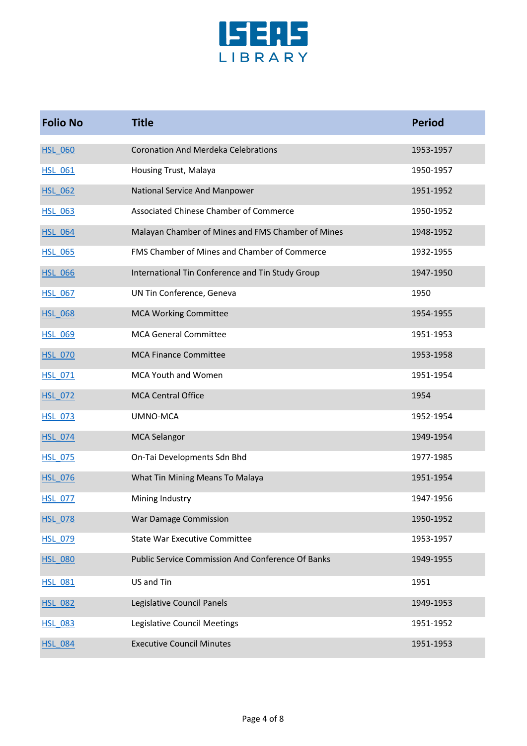

| <b>Folio No</b> | <b>Title</b>                                      | <b>Period</b> |
|-----------------|---------------------------------------------------|---------------|
| <b>HSL 060</b>  | <b>Coronation And Merdeka Celebrations</b>        | 1953-1957     |
| <b>HSL 061</b>  | Housing Trust, Malaya                             | 1950-1957     |
| <b>HSL 062</b>  | National Service And Manpower                     | 1951-1952     |
| <b>HSL 063</b>  | Associated Chinese Chamber of Commerce            | 1950-1952     |
| <b>HSL 064</b>  | Malayan Chamber of Mines and FMS Chamber of Mines | 1948-1952     |
| <b>HSL 065</b>  | FMS Chamber of Mines and Chamber of Commerce      | 1932-1955     |
| <b>HSL 066</b>  | International Tin Conference and Tin Study Group  | 1947-1950     |
| <b>HSL 067</b>  | UN Tin Conference, Geneva                         | 1950          |
| <b>HSL 068</b>  | <b>MCA Working Committee</b>                      | 1954-1955     |
| <b>HSL 069</b>  | <b>MCA General Committee</b>                      | 1951-1953     |
| <b>HSL 070</b>  | <b>MCA Finance Committee</b>                      | 1953-1958     |
| <b>HSL 071</b>  | <b>MCA Youth and Women</b>                        | 1951-1954     |
| <b>HSL 072</b>  | <b>MCA Central Office</b>                         | 1954          |
| <b>HSL_073</b>  | UMNO-MCA                                          | 1952-1954     |
| <b>HSL 074</b>  | <b>MCA Selangor</b>                               | 1949-1954     |
| <b>HSL 075</b>  | On-Tai Developments Sdn Bhd                       | 1977-1985     |
| <b>HSL 076</b>  | What Tin Mining Means To Malaya                   | 1951-1954     |
| <b>HSL 077</b>  | Mining Industry                                   | 1947-1956     |
| <b>HSL 078</b>  | War Damage Commission                             | 1950-1952     |
| <b>HSL 079</b>  | <b>State War Executive Committee</b>              | 1953-1957     |
| <b>HSL 080</b>  | Public Service Commission And Conference Of Banks | 1949-1955     |
| <b>HSL 081</b>  | US and Tin                                        | 1951          |
| <b>HSL_082</b>  | Legislative Council Panels                        | 1949-1953     |
| <b>HSL 083</b>  | Legislative Council Meetings                      | 1951-1952     |
| <b>HSL 084</b>  | <b>Executive Council Minutes</b>                  | 1951-1953     |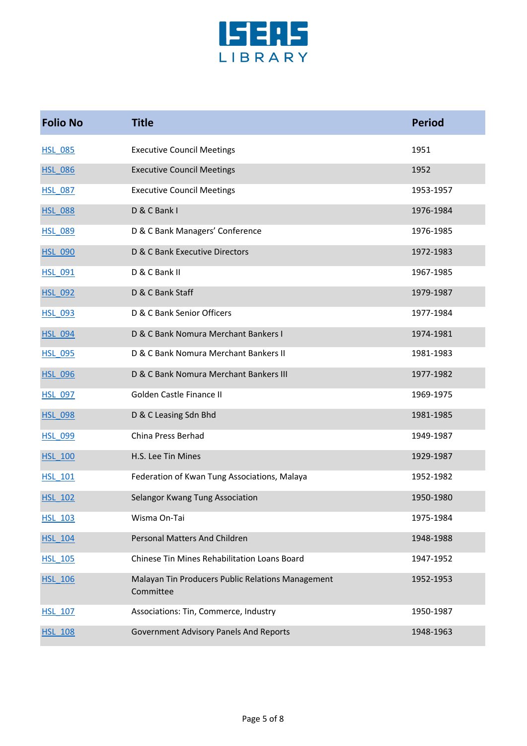

| <b>Folio No</b> | <b>Title</b>                                                   | <b>Period</b> |
|-----------------|----------------------------------------------------------------|---------------|
| <b>HSL 085</b>  | <b>Executive Council Meetings</b>                              | 1951          |
| <b>HSL 086</b>  | <b>Executive Council Meetings</b>                              | 1952          |
| <b>HSL 087</b>  | <b>Executive Council Meetings</b>                              | 1953-1957     |
| <b>HSL 088</b>  | D & C Bank I                                                   | 1976-1984     |
| <b>HSL 089</b>  | D & C Bank Managers' Conference                                | 1976-1985     |
| <b>HSL 090</b>  | D & C Bank Executive Directors                                 | 1972-1983     |
| <b>HSL 091</b>  | D & C Bank II                                                  | 1967-1985     |
| <b>HSL_092</b>  | D & C Bank Staff                                               | 1979-1987     |
| <b>HSL 093</b>  | D & C Bank Senior Officers                                     | 1977-1984     |
| <b>HSL 094</b>  | D & C Bank Nomura Merchant Bankers I                           | 1974-1981     |
| <b>HSL 095</b>  | D & C Bank Nomura Merchant Bankers II                          | 1981-1983     |
| <b>HSL 096</b>  | D & C Bank Nomura Merchant Bankers III                         | 1977-1982     |
| <b>HSL 097</b>  | Golden Castle Finance II                                       | 1969-1975     |
| <b>HSL 098</b>  | D & C Leasing Sdn Bhd                                          | 1981-1985     |
| <b>HSL 099</b>  | China Press Berhad                                             | 1949-1987     |
| <b>HSL_100</b>  | H.S. Lee Tin Mines                                             | 1929-1987     |
| <b>HSL 101</b>  | Federation of Kwan Tung Associations, Malaya                   | 1952-1982     |
| <b>HSL 102</b>  | Selangor Kwang Tung Association                                | 1950-1980     |
| <b>HSL 103</b>  | Wisma On-Tai                                                   | 1975-1984     |
| <b>HSL 104</b>  | Personal Matters And Children                                  | 1948-1988     |
| <b>HSL 105</b>  | Chinese Tin Mines Rehabilitation Loans Board                   | 1947-1952     |
| <b>HSL 106</b>  | Malayan Tin Producers Public Relations Management<br>Committee | 1952-1953     |
| <b>HSL 107</b>  | Associations: Tin, Commerce, Industry                          | 1950-1987     |
| <b>HSL 108</b>  | Government Advisory Panels And Reports                         | 1948-1963     |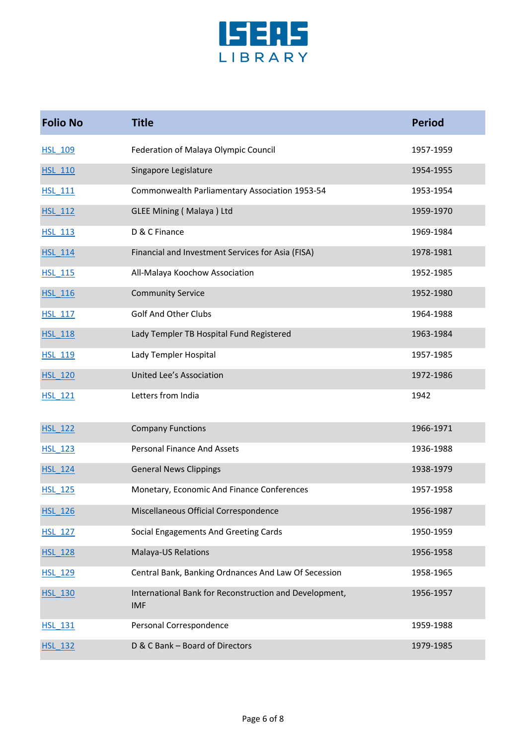

| <b>Folio No</b> | <b>Title</b>                                                         | <b>Period</b> |
|-----------------|----------------------------------------------------------------------|---------------|
| <b>HSL 109</b>  | Federation of Malaya Olympic Council                                 | 1957-1959     |
| <b>HSL 110</b>  | Singapore Legislature                                                | 1954-1955     |
| <b>HSL 111</b>  | Commonwealth Parliamentary Association 1953-54                       | 1953-1954     |
| <b>HSL 112</b>  | <b>GLEE Mining (Malaya) Ltd</b>                                      | 1959-1970     |
| <b>HSL 113</b>  | D & C Finance                                                        | 1969-1984     |
| <b>HSL 114</b>  | Financial and Investment Services for Asia (FISA)                    | 1978-1981     |
| <b>HSL 115</b>  | All-Malaya Koochow Association                                       | 1952-1985     |
| <b>HSL 116</b>  | <b>Community Service</b>                                             | 1952-1980     |
| <b>HSL 117</b>  | <b>Golf And Other Clubs</b>                                          | 1964-1988     |
| <b>HSL 118</b>  | Lady Templer TB Hospital Fund Registered                             | 1963-1984     |
| <b>HSL 119</b>  | Lady Templer Hospital                                                | 1957-1985     |
| <b>HSL 120</b>  | United Lee's Association                                             | 1972-1986     |
| <b>HSL 121</b>  | Letters from India                                                   | 1942          |
| <b>HSL 122</b>  | <b>Company Functions</b>                                             | 1966-1971     |
| <b>HSL 123</b>  | <b>Personal Finance And Assets</b>                                   | 1936-1988     |
| <b>HSL 124</b>  | <b>General News Clippings</b>                                        | 1938-1979     |
| <b>HSL 125</b>  | Monetary, Economic And Finance Conferences                           | 1957-1958     |
| <b>HSL 126</b>  | Miscellaneous Official Correspondence                                | 1956-1987     |
| <b>HSL 127</b>  | Social Engagements And Greeting Cards                                | 1950-1959     |
| <b>HSL 128</b>  | Malaya-US Relations                                                  | 1956-1958     |
| <b>HSL_129</b>  | Central Bank, Banking Ordnances And Law Of Secession                 | 1958-1965     |
| <b>HSL 130</b>  | International Bank for Reconstruction and Development,<br><b>IMF</b> | 1956-1957     |
| HSL 131         | Personal Correspondence                                              | 1959-1988     |
| <b>HSL 132</b>  | D & C Bank - Board of Directors                                      | 1979-1985     |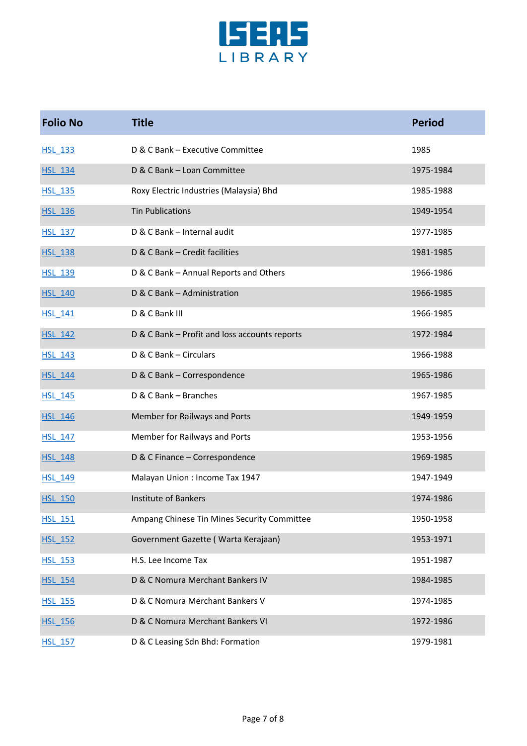

| <b>Folio No</b> | <b>Title</b>                                  | <b>Period</b> |
|-----------------|-----------------------------------------------|---------------|
| <b>HSL 133</b>  | D & C Bank - Executive Committee              | 1985          |
| <b>HSL 134</b>  | D & C Bank - Loan Committee                   | 1975-1984     |
| <b>HSL 135</b>  | Roxy Electric Industries (Malaysia) Bhd       | 1985-1988     |
| <b>HSL 136</b>  | <b>Tin Publications</b>                       | 1949-1954     |
| <b>HSL 137</b>  | D & C Bank - Internal audit                   | 1977-1985     |
| <b>HSL 138</b>  | D & C Bank - Credit facilities                | 1981-1985     |
| <b>HSL 139</b>  | D & C Bank - Annual Reports and Others        | 1966-1986     |
| <b>HSL 140</b>  | D & C Bank - Administration                   | 1966-1985     |
| <b>HSL 141</b>  | D & C Bank III                                | 1966-1985     |
| <b>HSL 142</b>  | D & C Bank - Profit and loss accounts reports | 1972-1984     |
| <b>HSL 143</b>  | D & C Bank - Circulars                        | 1966-1988     |
| <b>HSL 144</b>  | D & C Bank - Correspondence                   | 1965-1986     |
| <b>HSL 145</b>  | D & C Bank - Branches                         | 1967-1985     |
| <b>HSL_146</b>  | Member for Railways and Ports                 | 1949-1959     |
| <b>HSL 147</b>  | Member for Railways and Ports                 | 1953-1956     |
| <b>HSL 148</b>  | D & C Finance - Correspondence                | 1969-1985     |
| <b>HSL 149</b>  | Malayan Union : Income Tax 1947               | 1947-1949     |
| <b>HSL 150</b>  | <b>Institute of Bankers</b>                   | 1974-1986     |
| <b>HSL_151</b>  | Ampang Chinese Tin Mines Security Committee   | 1950-1958     |
| <b>HSL 152</b>  | Government Gazette (Warta Kerajaan)           | 1953-1971     |
| <b>HSL 153</b>  | H.S. Lee Income Tax                           | 1951-1987     |
| <b>HSL 154</b>  | D & C Nomura Merchant Bankers IV              | 1984-1985     |
| <b>HSL 155</b>  | D & C Nomura Merchant Bankers V               | 1974-1985     |
| <b>HSL 156</b>  | D & C Nomura Merchant Bankers VI              | 1972-1986     |
| <b>HSL 157</b>  | D & C Leasing Sdn Bhd: Formation              | 1979-1981     |